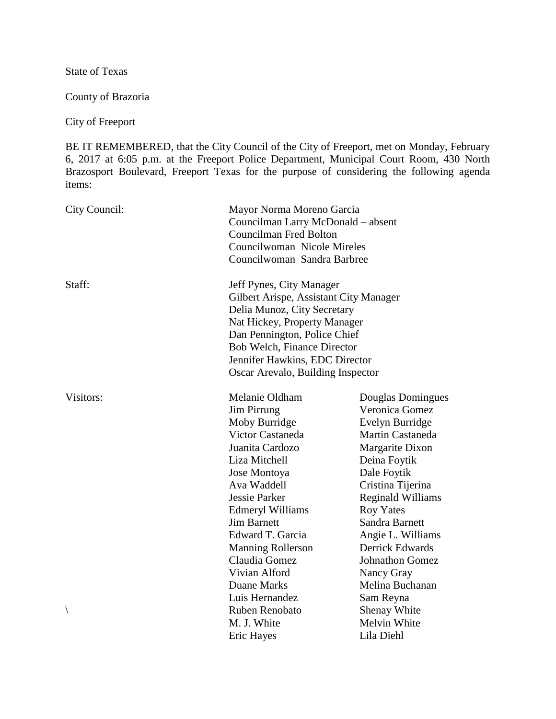State of Texas

County of Brazoria

City of Freeport

BE IT REMEMBERED, that the City Council of the City of Freeport, met on Monday, February 6, 2017 at 6:05 p.m. at the Freeport Police Department, Municipal Court Room, 430 North Brazosport Boulevard, Freeport Texas for the purpose of considering the following agenda items:

| City Council: | Mayor Norma Moreno Garcia<br>Councilman Larry McDonald – absent<br><b>Councilman Fred Bolton</b><br>Councilwoman Nicole Mireles<br>Councilwoman Sandra Barbree                                                                                                                                   |                                                                                                                                                                                                                                                                                                            |
|---------------|--------------------------------------------------------------------------------------------------------------------------------------------------------------------------------------------------------------------------------------------------------------------------------------------------|------------------------------------------------------------------------------------------------------------------------------------------------------------------------------------------------------------------------------------------------------------------------------------------------------------|
| Staff:        | Jeff Pynes, City Manager<br>Gilbert Arispe, Assistant City Manager<br>Delia Munoz, City Secretary<br>Nat Hickey, Property Manager<br>Dan Pennington, Police Chief<br>Bob Welch, Finance Director<br>Jennifer Hawkins, EDC Director<br>Oscar Arevalo, Building Inspector                          |                                                                                                                                                                                                                                                                                                            |
| Visitors:     | Melanie Oldham<br><b>Jim Pirrung</b><br>Moby Burridge<br>Victor Castaneda<br>Juanita Cardozo<br>Liza Mitchell<br>Jose Montoya<br>Ava Waddell<br>Jessie Parker<br><b>Edmeryl Williams</b><br><b>Jim Barnett</b><br>Edward T. Garcia<br><b>Manning Rollerson</b><br>Claudia Gomez<br>Vivian Alford | Douglas Domingues<br>Veronica Gomez<br>Evelyn Burridge<br>Martin Castaneda<br>Margarite Dixon<br>Deina Foytik<br>Dale Foytik<br>Cristina Tijerina<br><b>Reginald Williams</b><br><b>Roy Yates</b><br>Sandra Barnett<br>Angie L. Williams<br><b>Derrick Edwards</b><br><b>Johnathon Gomez</b><br>Nancy Gray |
| $\backslash$  | <b>Duane Marks</b><br>Luis Hernandez<br>Ruben Renobato<br>M. J. White<br>Eric Hayes                                                                                                                                                                                                              | Melina Buchanan<br>Sam Reyna<br><b>Shenay White</b><br>Melvin White<br>Lila Diehl                                                                                                                                                                                                                          |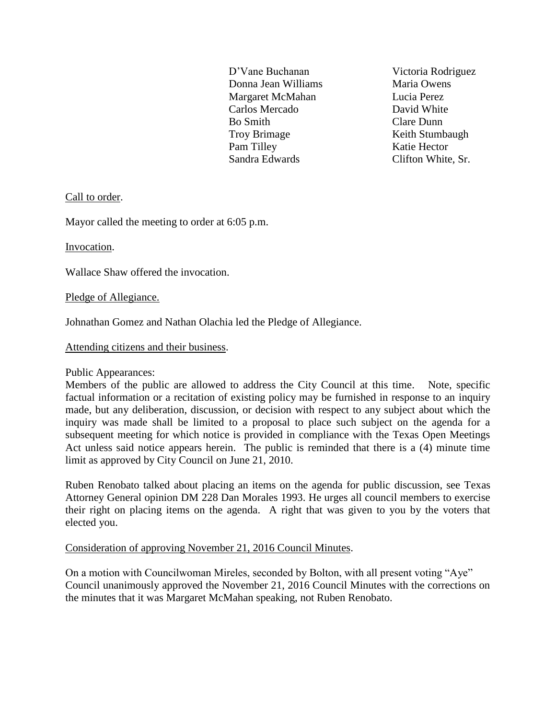D'Vane Buchanan Victoria Rodriguez Donna Jean Williams Maria Owens Margaret McMahan Lucia Perez Carlos Mercado David White Bo Smith Clare Dunn Troy Brimage Keith Stumbaugh Pam Tilley Katie Hector Sandra Edwards Clifton White, Sr.

Call to order.

Mayor called the meeting to order at 6:05 p.m.

Invocation.

Wallace Shaw offered the invocation.

Pledge of Allegiance.

Johnathan Gomez and Nathan Olachia led the Pledge of Allegiance.

Attending citizens and their business.

Public Appearances:

Members of the public are allowed to address the City Council at this time. Note, specific factual information or a recitation of existing policy may be furnished in response to an inquiry made, but any deliberation, discussion, or decision with respect to any subject about which the inquiry was made shall be limited to a proposal to place such subject on the agenda for a subsequent meeting for which notice is provided in compliance with the Texas Open Meetings Act unless said notice appears herein. The public is reminded that there is a (4) minute time limit as approved by City Council on June 21, 2010.

Ruben Renobato talked about placing an items on the agenda for public discussion, see Texas Attorney General opinion DM 228 Dan Morales 1993. He urges all council members to exercise their right on placing items on the agenda. A right that was given to you by the voters that elected you.

Consideration of approving November 21, 2016 Council Minutes.

On a motion with Councilwoman Mireles, seconded by Bolton, with all present voting "Aye" Council unanimously approved the November 21, 2016 Council Minutes with the corrections on the minutes that it was Margaret McMahan speaking, not Ruben Renobato.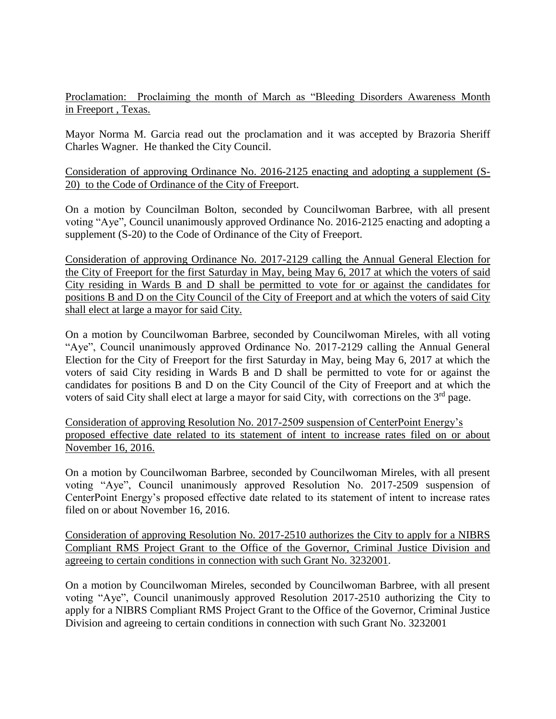Proclamation: Proclaiming the month of March as "Bleeding Disorders Awareness Month in Freeport , Texas.

Mayor Norma M. Garcia read out the proclamation and it was accepted by Brazoria Sheriff Charles Wagner. He thanked the City Council.

Consideration of approving Ordinance No. 2016-2125 enacting and adopting a supplement (S-20) to the Code of Ordinance of the City of Freeport.

On a motion by Councilman Bolton, seconded by Councilwoman Barbree, with all present voting "Aye", Council unanimously approved Ordinance No. 2016-2125 enacting and adopting a supplement (S-20) to the Code of Ordinance of the City of Freeport.

Consideration of approving Ordinance No. 2017-2129 calling the Annual General Election for the City of Freeport for the first Saturday in May, being May 6, 2017 at which the voters of said City residing in Wards B and D shall be permitted to vote for or against the candidates for positions B and D on the City Council of the City of Freeport and at which the voters of said City shall elect at large a mayor for said City.

On a motion by Councilwoman Barbree, seconded by Councilwoman Mireles, with all voting "Aye", Council unanimously approved Ordinance No. 2017-2129 calling the Annual General Election for the City of Freeport for the first Saturday in May, being May 6, 2017 at which the voters of said City residing in Wards B and D shall be permitted to vote for or against the candidates for positions B and D on the City Council of the City of Freeport and at which the voters of said City shall elect at large a mayor for said City, with corrections on the 3<sup>rd</sup> page.

Consideration of approving Resolution No. 2017-2509 suspension of CenterPoint Energy's proposed effective date related to its statement of intent to increase rates filed on or about November 16, 2016.

On a motion by Councilwoman Barbree, seconded by Councilwoman Mireles, with all present voting "Aye", Council unanimously approved Resolution No. 2017-2509 suspension of CenterPoint Energy's proposed effective date related to its statement of intent to increase rates filed on or about November 16, 2016.

Consideration of approving Resolution No. 2017-2510 authorizes the City to apply for a NIBRS Compliant RMS Project Grant to the Office of the Governor, Criminal Justice Division and agreeing to certain conditions in connection with such Grant No. 3232001.

On a motion by Councilwoman Mireles, seconded by Councilwoman Barbree, with all present voting "Aye", Council unanimously approved Resolution 2017-2510 authorizing the City to apply for a NIBRS Compliant RMS Project Grant to the Office of the Governor, Criminal Justice Division and agreeing to certain conditions in connection with such Grant No. 3232001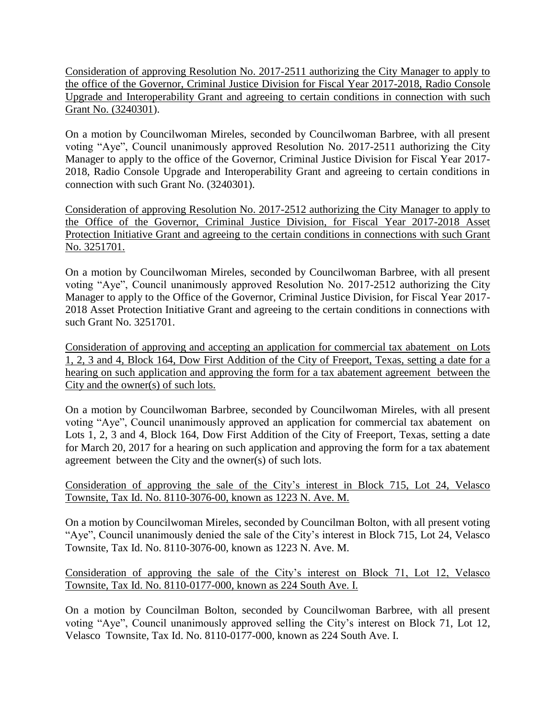Consideration of approving Resolution No. 2017-2511 authorizing the City Manager to apply to the office of the Governor, Criminal Justice Division for Fiscal Year 2017-2018, Radio Console Upgrade and Interoperability Grant and agreeing to certain conditions in connection with such Grant No. (3240301).

On a motion by Councilwoman Mireles, seconded by Councilwoman Barbree, with all present voting "Aye", Council unanimously approved Resolution No. 2017-2511 authorizing the City Manager to apply to the office of the Governor, Criminal Justice Division for Fiscal Year 2017- 2018, Radio Console Upgrade and Interoperability Grant and agreeing to certain conditions in connection with such Grant No. (3240301).

Consideration of approving Resolution No. 2017-2512 authorizing the City Manager to apply to the Office of the Governor, Criminal Justice Division, for Fiscal Year 2017-2018 Asset Protection Initiative Grant and agreeing to the certain conditions in connections with such Grant No. 3251701.

On a motion by Councilwoman Mireles, seconded by Councilwoman Barbree, with all present voting "Aye", Council unanimously approved Resolution No. 2017-2512 authorizing the City Manager to apply to the Office of the Governor, Criminal Justice Division, for Fiscal Year 2017- 2018 Asset Protection Initiative Grant and agreeing to the certain conditions in connections with such Grant No. 3251701.

Consideration of approving and accepting an application for commercial tax abatement on Lots 1, 2, 3 and 4, Block 164, Dow First Addition of the City of Freeport, Texas, setting a date for a hearing on such application and approving the form for a tax abatement agreement between the City and the owner(s) of such lots.

On a motion by Councilwoman Barbree, seconded by Councilwoman Mireles, with all present voting "Aye", Council unanimously approved an application for commercial tax abatement on Lots 1, 2, 3 and 4, Block 164, Dow First Addition of the City of Freeport, Texas, setting a date for March 20, 2017 for a hearing on such application and approving the form for a tax abatement agreement between the City and the owner(s) of such lots.

Consideration of approving the sale of the City's interest in Block 715, Lot 24, Velasco Townsite, Tax Id. No. 8110-3076-00, known as 1223 N. Ave. M.

On a motion by Councilwoman Mireles, seconded by Councilman Bolton, with all present voting "Aye", Council unanimously denied the sale of the City's interest in Block 715, Lot 24, Velasco Townsite, Tax Id. No. 8110-3076-00, known as 1223 N. Ave. M.

Consideration of approving the sale of the City's interest on Block 71, Lot 12, Velasco Townsite, Tax Id. No. 8110-0177-000, known as 224 South Ave. I.

On a motion by Councilman Bolton, seconded by Councilwoman Barbree, with all present voting "Aye", Council unanimously approved selling the City's interest on Block 71, Lot 12, Velasco Townsite, Tax Id. No. 8110-0177-000, known as 224 South Ave. I.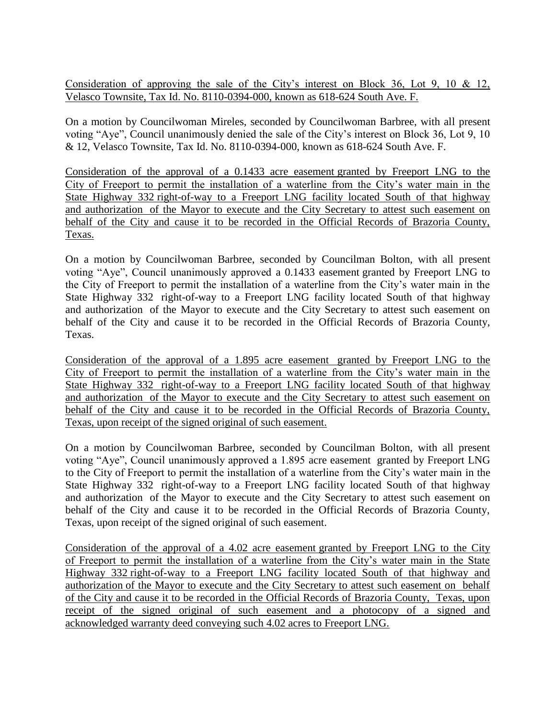Consideration of approving the sale of the City's interest on Block 36, Lot 9, 10 & 12, Velasco Townsite, Tax Id. No. 8110-0394-000, known as 618-624 South Ave. F.

On a motion by Councilwoman Mireles, seconded by Councilwoman Barbree, with all present voting "Aye", Council unanimously denied the sale of the City's interest on Block 36, Lot 9, 10 & 12, Velasco Townsite, Tax Id. No. 8110-0394-000, known as 618-624 South Ave. F.

Consideration of the approval of a 0.1433 acre easement granted by Freeport LNG to the City of Freeport to permit the installation of a waterline from the City's water main in the State Highway 332 right-of-way to a Freeport LNG facility located South of that highway and authorization of the Mayor to execute and the City Secretary to attest such easement on behalf of the City and cause it to be recorded in the Official Records of Brazoria County, Texas.

On a motion by Councilwoman Barbree, seconded by Councilman Bolton, with all present voting "Aye", Council unanimously approved a 0.1433 easement granted by Freeport LNG to the City of Freeport to permit the installation of a waterline from the City's water main in the State Highway 332 right-of-way to a Freeport LNG facility located South of that highway and authorization of the Mayor to execute and the City Secretary to attest such easement on behalf of the City and cause it to be recorded in the Official Records of Brazoria County, Texas.

Consideration of the approval of a 1.895 acre easement granted by Freeport LNG to the City of Freeport to permit the installation of a waterline from the City's water main in the State Highway 332 right-of-way to a Freeport LNG facility located South of that highway and authorization of the Mayor to execute and the City Secretary to attest such easement on behalf of the City and cause it to be recorded in the Official Records of Brazoria County, Texas, upon receipt of the signed original of such easement.

On a motion by Councilwoman Barbree, seconded by Councilman Bolton, with all present voting "Aye", Council unanimously approved a 1.895 acre easement granted by Freeport LNG to the City of Freeport to permit the installation of a waterline from the City's water main in the State Highway 332 right-of-way to a Freeport LNG facility located South of that highway and authorization of the Mayor to execute and the City Secretary to attest such easement on behalf of the City and cause it to be recorded in the Official Records of Brazoria County, Texas, upon receipt of the signed original of such easement.

Consideration of the approval of a 4.02 acre easement granted by Freeport LNG to the City of Freeport to permit the installation of a waterline from the City's water main in the State Highway 332 right-of-way to a Freeport LNG facility located South of that highway and authorization of the Mayor to execute and the City Secretary to attest such easement on behalf of the City and cause it to be recorded in the Official Records of Brazoria County, Texas, upon receipt of the signed original of such easement and a photocopy of a signed and acknowledged warranty deed conveying such 4.02 acres to Freeport LNG.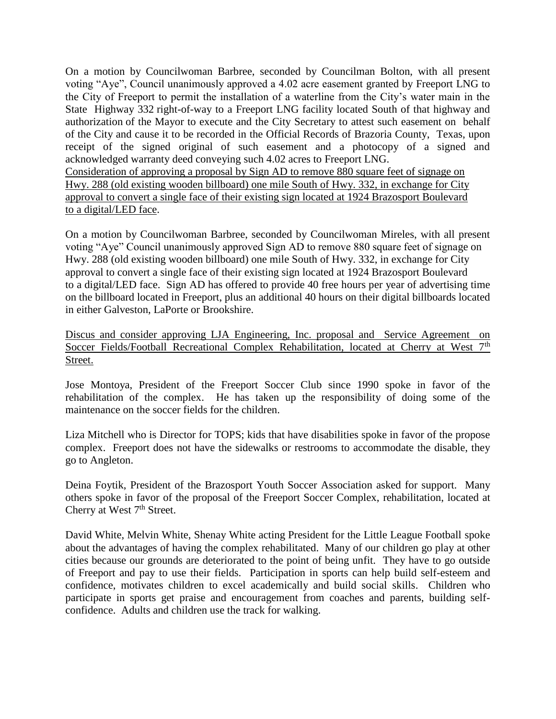On a motion by Councilwoman Barbree, seconded by Councilman Bolton, with all present voting "Aye", Council unanimously approved a 4.02 acre easement granted by Freeport LNG to the City of Freeport to permit the installation of a waterline from the City's water main in the State Highway 332 right-of-way to a Freeport LNG facility located South of that highway and authorization of the Mayor to execute and the City Secretary to attest such easement on behalf of the City and cause it to be recorded in the Official Records of Brazoria County, Texas, upon receipt of the signed original of such easement and a photocopy of a signed and acknowledged warranty deed conveying such 4.02 acres to Freeport LNG.

Consideration of approving a proposal by Sign AD to remove 880 square feet of signage on Hwy. 288 (old existing wooden billboard) one mile South of Hwy. 332, in exchange for City approval to convert a single face of their existing sign located at 1924 Brazosport Boulevard to a digital/LED face.

On a motion by Councilwoman Barbree, seconded by Councilwoman Mireles, with all present voting "Aye" Council unanimously approved Sign AD to remove 880 square feet of signage on Hwy. 288 (old existing wooden billboard) one mile South of Hwy. 332, in exchange for City approval to convert a single face of their existing sign located at 1924 Brazosport Boulevard to a digital/LED face. Sign AD has offered to provide 40 free hours per year of advertising time on the billboard located in Freeport, plus an additional 40 hours on their digital billboards located in either Galveston, LaPorte or Brookshire.

Discus and consider approving LJA Engineering, Inc. proposal and Service Agreement on Soccer Fields/Football Recreational Complex Rehabilitation, located at Cherry at West 7<sup>th</sup> Street.

Jose Montoya, President of the Freeport Soccer Club since 1990 spoke in favor of the rehabilitation of the complex. He has taken up the responsibility of doing some of the maintenance on the soccer fields for the children.

Liza Mitchell who is Director for TOPS; kids that have disabilities spoke in favor of the propose complex. Freeport does not have the sidewalks or restrooms to accommodate the disable, they go to Angleton.

Deina Foytik, President of the Brazosport Youth Soccer Association asked for support. Many others spoke in favor of the proposal of the Freeport Soccer Complex, rehabilitation, located at Cherry at West 7<sup>th</sup> Street.

David White, Melvin White, Shenay White acting President for the Little League Football spoke about the advantages of having the complex rehabilitated. Many of our children go play at other cities because our grounds are deteriorated to the point of being unfit. They have to go outside of Freeport and pay to use their fields. Participation in sports can help build self-esteem and confidence, motivates children to excel academically and build social skills. Children who participate in sports get praise and encouragement from coaches and parents, building selfconfidence. Adults and children use the track for walking.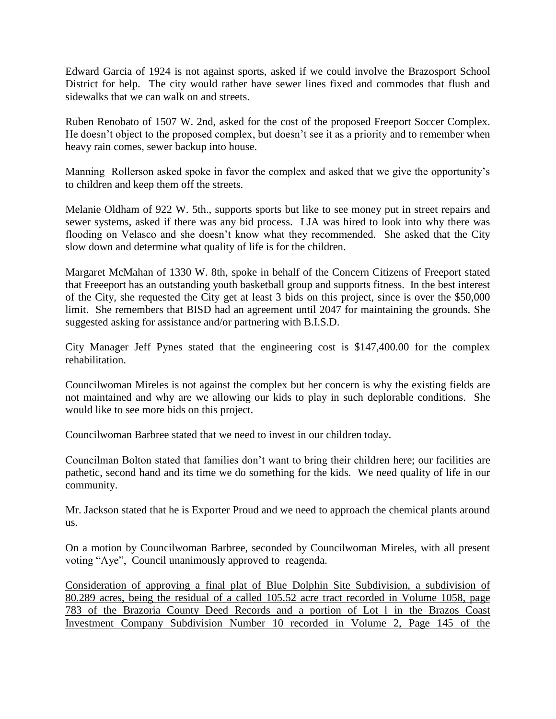Edward Garcia of 1924 is not against sports, asked if we could involve the Brazosport School District for help. The city would rather have sewer lines fixed and commodes that flush and sidewalks that we can walk on and streets.

Ruben Renobato of 1507 W. 2nd, asked for the cost of the proposed Freeport Soccer Complex. He doesn't object to the proposed complex, but doesn't see it as a priority and to remember when heavy rain comes, sewer backup into house.

Manning Rollerson asked spoke in favor the complex and asked that we give the opportunity's to children and keep them off the streets.

Melanie Oldham of 922 W. 5th., supports sports but like to see money put in street repairs and sewer systems, asked if there was any bid process. LJA was hired to look into why there was flooding on Velasco and she doesn't know what they recommended. She asked that the City slow down and determine what quality of life is for the children.

Margaret McMahan of 1330 W. 8th, spoke in behalf of the Concern Citizens of Freeport stated that Freeeport has an outstanding youth basketball group and supports fitness. In the best interest of the City, she requested the City get at least 3 bids on this project, since is over the \$50,000 limit. She remembers that BISD had an agreement until 2047 for maintaining the grounds. She suggested asking for assistance and/or partnering with B.I.S.D.

City Manager Jeff Pynes stated that the engineering cost is \$147,400.00 for the complex rehabilitation.

Councilwoman Mireles is not against the complex but her concern is why the existing fields are not maintained and why are we allowing our kids to play in such deplorable conditions. She would like to see more bids on this project.

Councilwoman Barbree stated that we need to invest in our children today.

Councilman Bolton stated that families don't want to bring their children here; our facilities are pathetic, second hand and its time we do something for the kids. We need quality of life in our community.

Mr. Jackson stated that he is Exporter Proud and we need to approach the chemical plants around us.

On a motion by Councilwoman Barbree, seconded by Councilwoman Mireles, with all present voting "Aye", Council unanimously approved to reagenda.

Consideration of approving a final plat of Blue Dolphin Site Subdivision, a subdivision of 80.289 acres, being the residual of a called 105.52 acre tract recorded in Volume 1058, page 783 of the Brazoria County Deed Records and a portion of Lot l in the Brazos Coast Investment Company Subdivision Number 10 recorded in Volume 2, Page 145 of the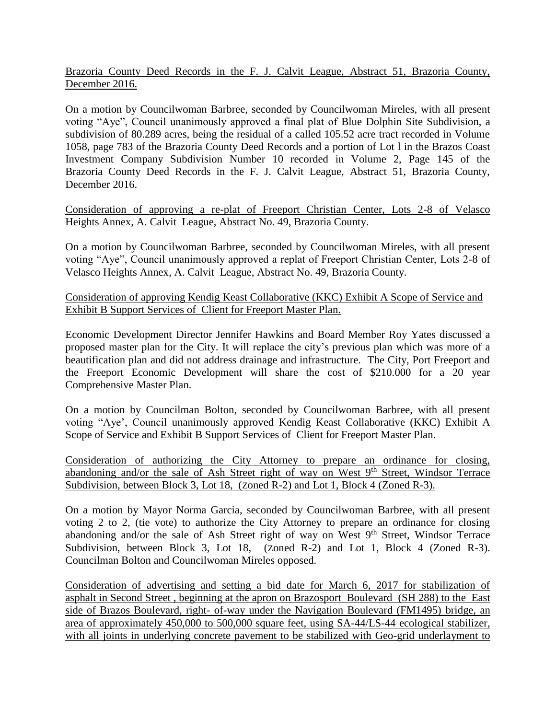Brazoria County Deed Records in the F. J. Calvit League, Abstract 51, Brazoria County, December 2016.

On a motion by Councilwoman Barbree, seconded by Councilwoman Mireles, with all present voting "Aye", Council unanimously approved a final plat of Blue Dolphin Site Subdivision, a subdivision of 80.289 acres, being the residual of a called 105.52 acre tract recorded in Volume 1058, page 783 of the Brazoria County Deed Records and a portion of Lot l in the Brazos Coast Investment Company Subdivision Number 10 recorded in Volume 2, Page 145 of the Brazoria County Deed Records in the F. J. Calvit League, Abstract 51, Brazoria County, December 2016.

Consideration of approving a re-plat of Freeport Christian Center, Lots 2-8 of Velasco Heights Annex, A. Calvit League, Abstract No. 49, Brazoria County.

On a motion by Councilwoman Barbree, seconded by Councilwoman Mireles, with all present voting "Aye", Council unanimously approved a replat of Freeport Christian Center, Lots 2-8 of Velasco Heights Annex, A. Calvit League, Abstract No. 49, Brazoria County.

Consideration of approving Kendig Keast Collaborative (KKC) Exhibit A Scope of Service and Exhibit B Support Services of Client for Freeport Master Plan.

Economic Development Director Jennifer Hawkins and Board Member Roy Yates discussed a proposed master plan for the City. It will replace the city's previous plan which was more of a beautification plan and did not address drainage and infrastructure. The City, Port Freeport and the Freeport Economic Development will share the cost of \$210.000 for a 20 year Comprehensive Master Plan.

On a motion by Councilman Bolton, seconded by Councilwoman Barbree, with all present voting "Aye', Council unanimously approved Kendig Keast Collaborative (KKC) Exhibit A Scope of Service and Exhibit B Support Services of Client for Freeport Master Plan.

Consideration of authorizing the City Attorney to prepare an ordinance for closing, abandoning and/or the sale of Ash Street right of way on West 9<sup>th</sup> Street, Windsor Terrace Subdivision, between Block 3, Lot 18, (Zoned R-2) and Lot 1, Block 4 (Zoned R-3).

On a motion by Mayor Norma Garcia, seconded by Councilwoman Barbree, with all present voting 2 to 2, (tie vote) to authorize the City Attorney to prepare an ordinance for closing abandoning and/or the sale of Ash Street right of way on West  $9<sup>th</sup>$  Street, Windsor Terrace Subdivision, between Block 3, Lot 18, (Zoned R-2) and Lot 1, Block 4 (Zoned R-3). Councilman Bolton and Councilwoman Mireles opposed.

Consideration of advertising and setting a bid date for March 6, 2017 for stabilization of asphalt in Second Street , beginning at the apron on Brazosport Boulevard (SH 288) to the East side of Brazos Boulevard, right- of-way under the Navigation Boulevard (FM1495) bridge, an area of approximately 450,000 to 500,000 square feet, using SA-44/LS-44 ecological stabilizer, with all joints in underlying concrete pavement to be stabilized with Geo-grid underlayment to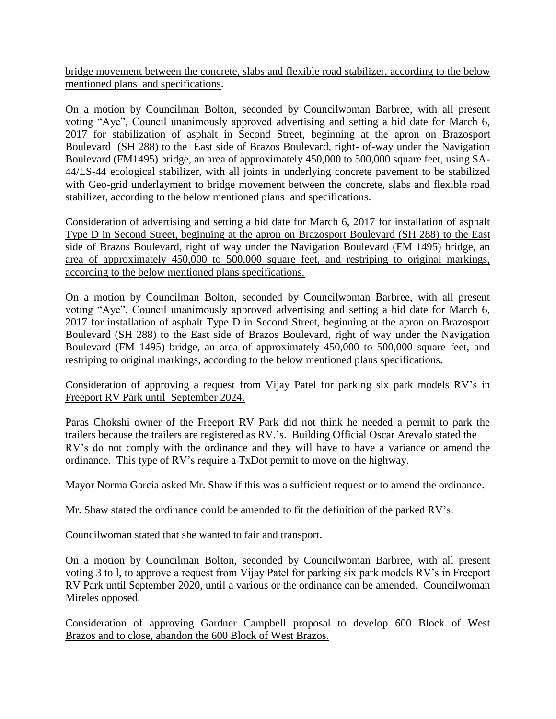bridge movement between the concrete, slabs and flexible road stabilizer, according to the below mentioned plans and specifications.

On a motion by Councilman Bolton, seconded by Councilwoman Barbree, with all present voting "Aye", Council unanimously approved advertising and setting a bid date for March 6, 2017 for stabilization of asphalt in Second Street, beginning at the apron on Brazosport Boulevard (SH 288) to the East side of Brazos Boulevard, right- of-way under the Navigation Boulevard (FM1495) bridge, an area of approximately 450,000 to 500,000 square feet, using SA-44/LS-44 ecological stabilizer, with all joints in underlying concrete pavement to be stabilized with Geo-grid underlayment to bridge movement between the concrete, slabs and flexible road stabilizer, according to the below mentioned plans and specifications.

Consideration of advertising and setting a bid date for March 6, 2017 for installation of asphalt Type D in Second Street, beginning at the apron on Brazosport Boulevard (SH 288) to the East side of Brazos Boulevard, right of way under the Navigation Boulevard (FM 1495) bridge, an area of approximately 450,000 to 500,000 square feet, and restriping to original markings, according to the below mentioned plans specifications.

On a motion by Councilman Bolton, seconded by Councilwoman Barbree, with all present voting "Aye", Council unanimously approved advertising and setting a bid date for March 6, 2017 for installation of asphalt Type D in Second Street, beginning at the apron on Brazosport Boulevard (SH 288) to the East side of Brazos Boulevard, right of way under the Navigation Boulevard (FM 1495) bridge, an area of approximately 450,000 to 500,000 square feet, and restriping to original markings, according to the below mentioned plans specifications.

Consideration of approving a request from Vijay Patel for parking six park models RV's in Freeport RV Park until September 2024.

Paras Chokshi owner of the Freeport RV Park did not think he needed a permit to park the trailers because the trailers are registered as RV.'s. Building Official Oscar Arevalo stated the RV's do not comply with the ordinance and they will have to have a variance or amend the ordinance. This type of RV's require a TxDot permit to move on the highway.

Mayor Norma Garcia asked Mr. Shaw if this was a sufficient request or to amend the ordinance.

Mr. Shaw stated the ordinance could be amended to fit the definition of the parked RV's.

Councilwoman stated that she wanted to fair and transport.

On a motion by Councilman Bolton, seconded by Councilwoman Barbree, with all present voting 3 to l, to approve a request from Vijay Patel for parking six park models RV's in Freeport RV Park until September 2020, until a various or the ordinance can be amended. Councilwoman Mireles opposed.

Consideration of approving Gardner Campbell proposal to develop 600 Block of West Brazos and to close, abandon the 600 Block of West Brazos.